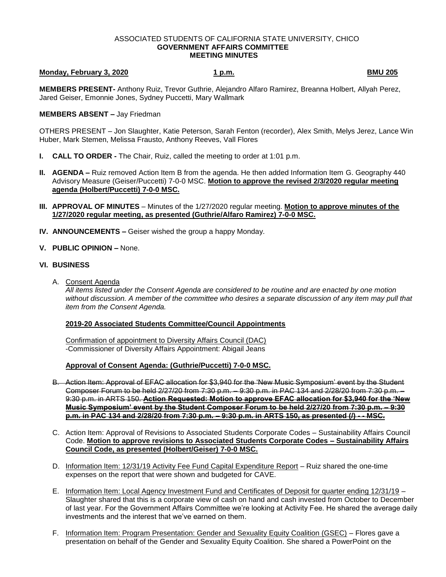### ASSOCIATED STUDENTS OF CALIFORNIA STATE UNIVERSITY, CHICO **GOVERNMENT AFFAIRS COMMITTEE MEETING MINUTES**

# **Monday, February 3, 2020 1 p.m. BMU 205**

**MEMBERS PRESENT-** Anthony Ruiz, Trevor Guthrie, Alejandro Alfaro Ramirez, Breanna Holbert, Allyah Perez, Jared Geiser, Emonnie Jones, Sydney Puccetti, Mary Wallmark

### **MEMBERS ABSENT –** Jay Friedman

OTHERS PRESENT – Jon Slaughter, Katie Peterson, Sarah Fenton (recorder), Alex Smith, Melys Jerez, Lance Win Huber, Mark Stemen, Melissa Frausto, Anthony Reeves, Vall Flores

- **I. CALL TO ORDER -** The Chair, Ruiz, called the meeting to order at 1:01 p.m.
- **II. AGENDA –** Ruiz removed Action Item B from the agenda. He then added Information Item G. Geography 440 Advisory Measure (Geiser/Puccetti) 7-0-0 MSC. **Motion to approve the revised 2/3/2020 regular meeting agenda (Holbert/Puccetti) 7-0-0 MSC.**
- **III. APPROVAL OF MINUTES** Minutes of the 1/27/2020 regular meeting. **Motion to approve minutes of the 1/27/2020 regular meeting, as presented (Guthrie/Alfaro Ramirez) 7-0-0 MSC.**
- **IV. ANNOUNCEMENTS –** Geiser wished the group a happy Monday.
- **V. PUBLIC OPINION –** None.

## **VI. BUSINESS**

A. Consent Agenda

*All items listed under the Consent Agenda are considered to be routine and are enacted by one motion without discussion. A member of the committee who desires a separate discussion of any item may pull that item from the Consent Agenda.* 

### **2019-20 Associated Students Committee/Council Appointments**

Confirmation of appointment to Diversity Affairs Council (DAC) -Commissioner of Diversity Affairs Appointment: Abigail Jeans

### **Approval of Consent Agenda: (Guthrie/Puccetti) 7-0-0 MSC.**

- B. Action Item: Approval of EFAC allocation for \$3,940 for the 'New Music Symposium' event by the Student Composer Forum to be held 2/27/20 from 7:30 p.m. – 9:30 p.m. in PAC 134 and 2/28/20 from 7:30 p.m. – 9:30 p.m. in ARTS 150. **Action Requested: Motion to approve EFAC allocation for \$3,940 for the 'New Music Symposium' event by the Student Composer Forum to be held 2/27/20 from 7:30 p.m. – 9:30 p.m. in PAC 134 and 2/28/20 from 7:30 p.m. – 9:30 p.m. in ARTS 150, as presented (/) - - MSC.**
- C. Action Item: Approval of Revisions to Associated Students Corporate Codes Sustainability Affairs Council Code. **Motion to approve revisions to Associated Students Corporate Codes – Sustainability Affairs Council Code, as presented (Holbert/Geiser) 7-0-0 MSC.**
- D. Information Item: 12/31/19 Activity Fee Fund Capital Expenditure Report Ruiz shared the one-time expenses on the report that were shown and budgeted for CAVE.
- E. Information Item: Local Agency Investment Fund and Certificates of Deposit for quarter ending 12/31/19 Slaughter shared that this is a corporate view of cash on hand and cash invested from October to December of last year. For the Government Affairs Committee we're looking at Activity Fee. He shared the average daily investments and the interest that we've earned on them.
- F. Information Item: Program Presentation: Gender and Sexuality Equity Coalition (GSEC) Flores gave a presentation on behalf of the Gender and Sexuality Equity Coalition. She shared a PowerPoint on the